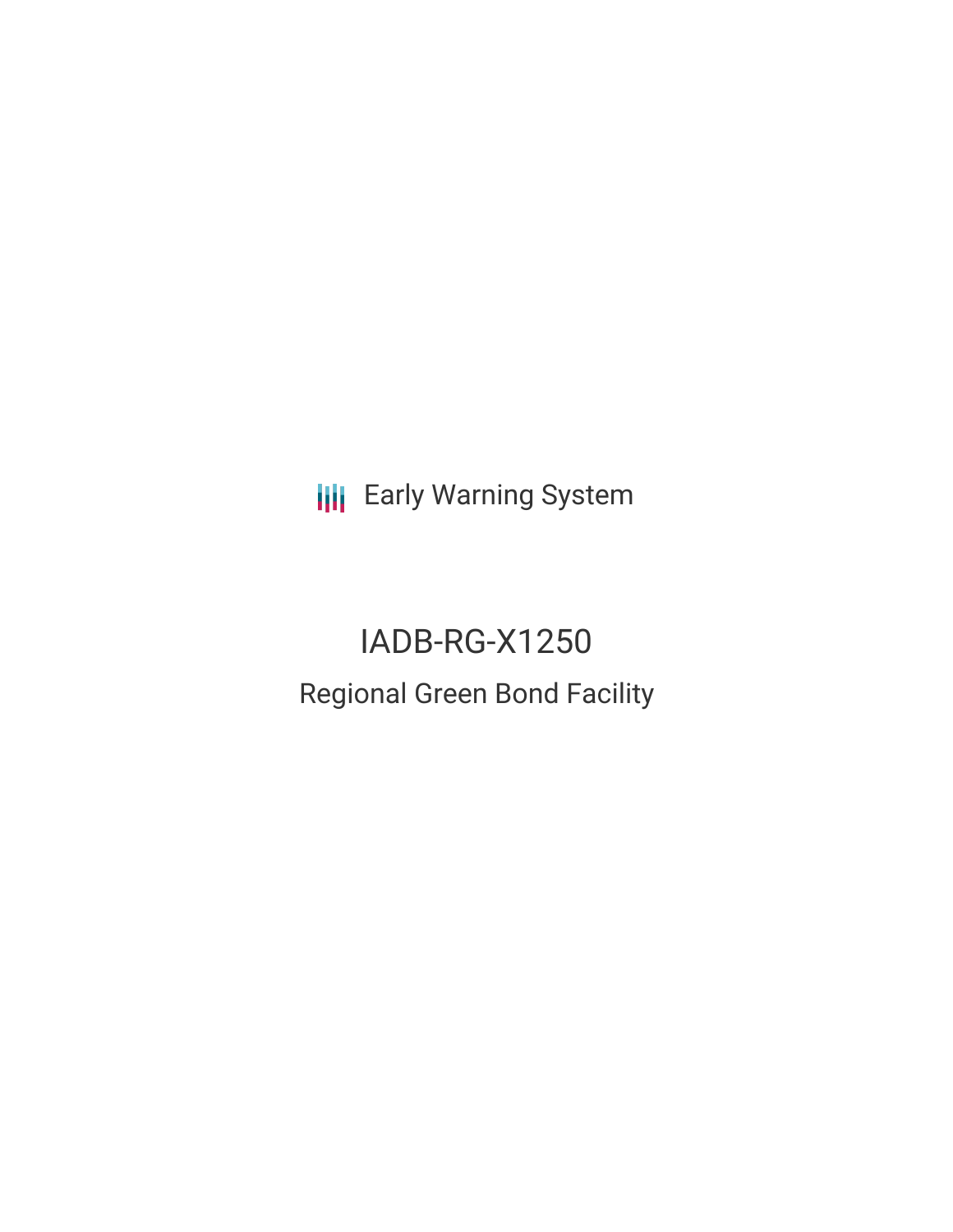**III** Early Warning System

IADB-RG-X1250 Regional Green Bond Facility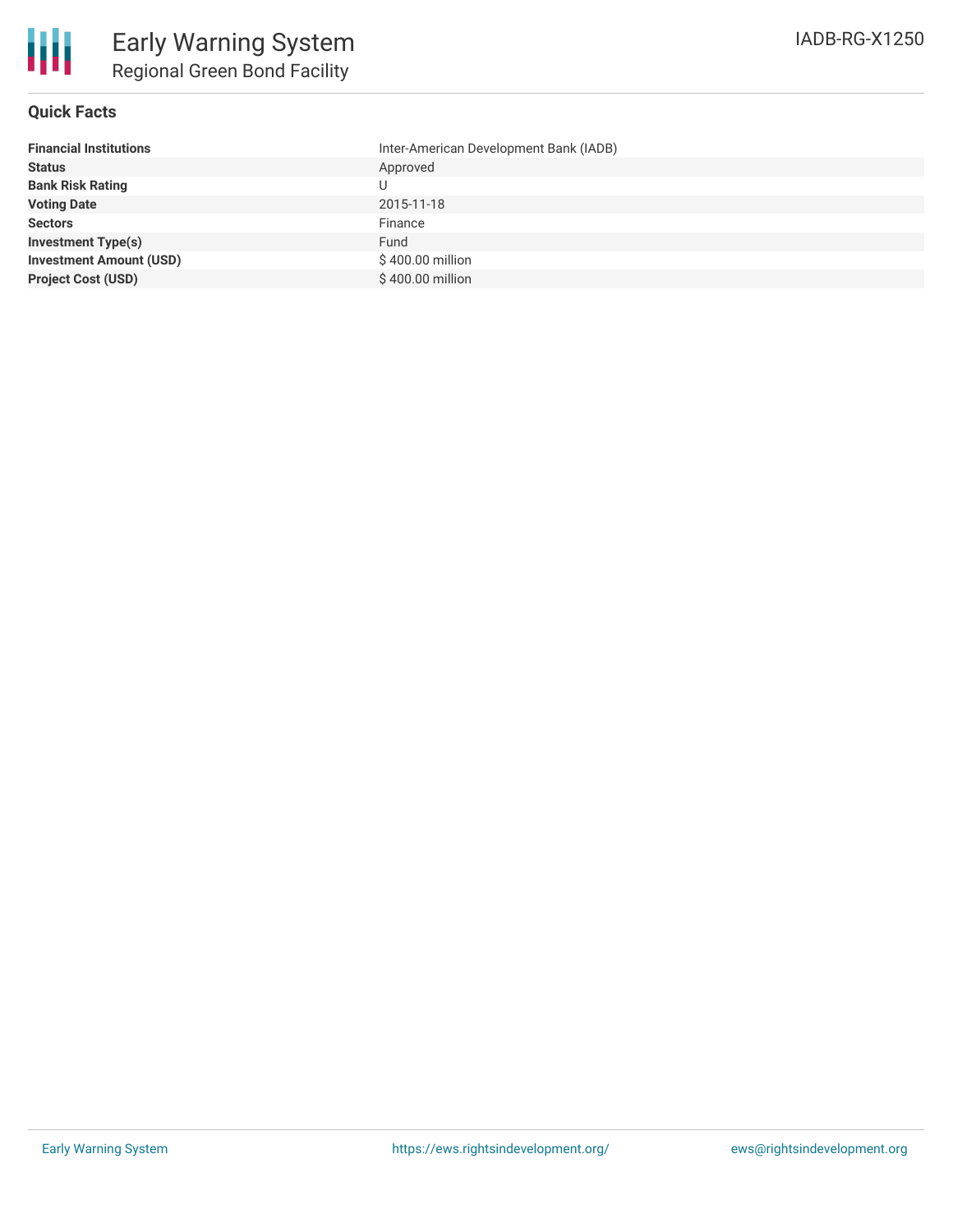

# **Quick Facts**

| Inter-American Development Bank (IADB) |
|----------------------------------------|
| Approved                               |
| U                                      |
| 2015-11-18                             |
| Finance                                |
| Fund                                   |
| \$400.00 million                       |
| \$400.00 million                       |
|                                        |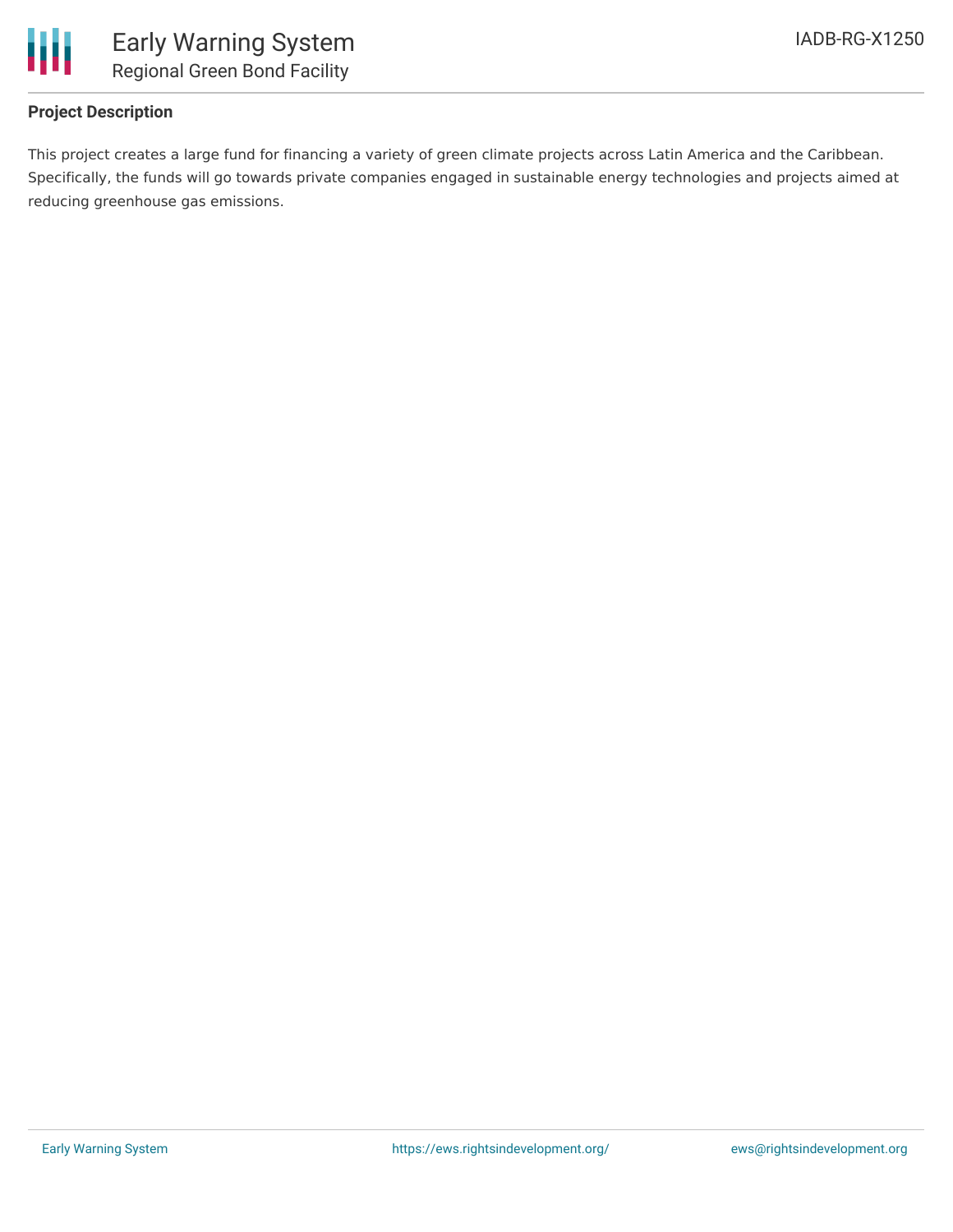

# **Project Description**

This project creates a large fund for financing a variety of green climate projects across Latin America and the Caribbean. Specifically, the funds will go towards private companies engaged in sustainable energy technologies and projects aimed at reducing greenhouse gas emissions.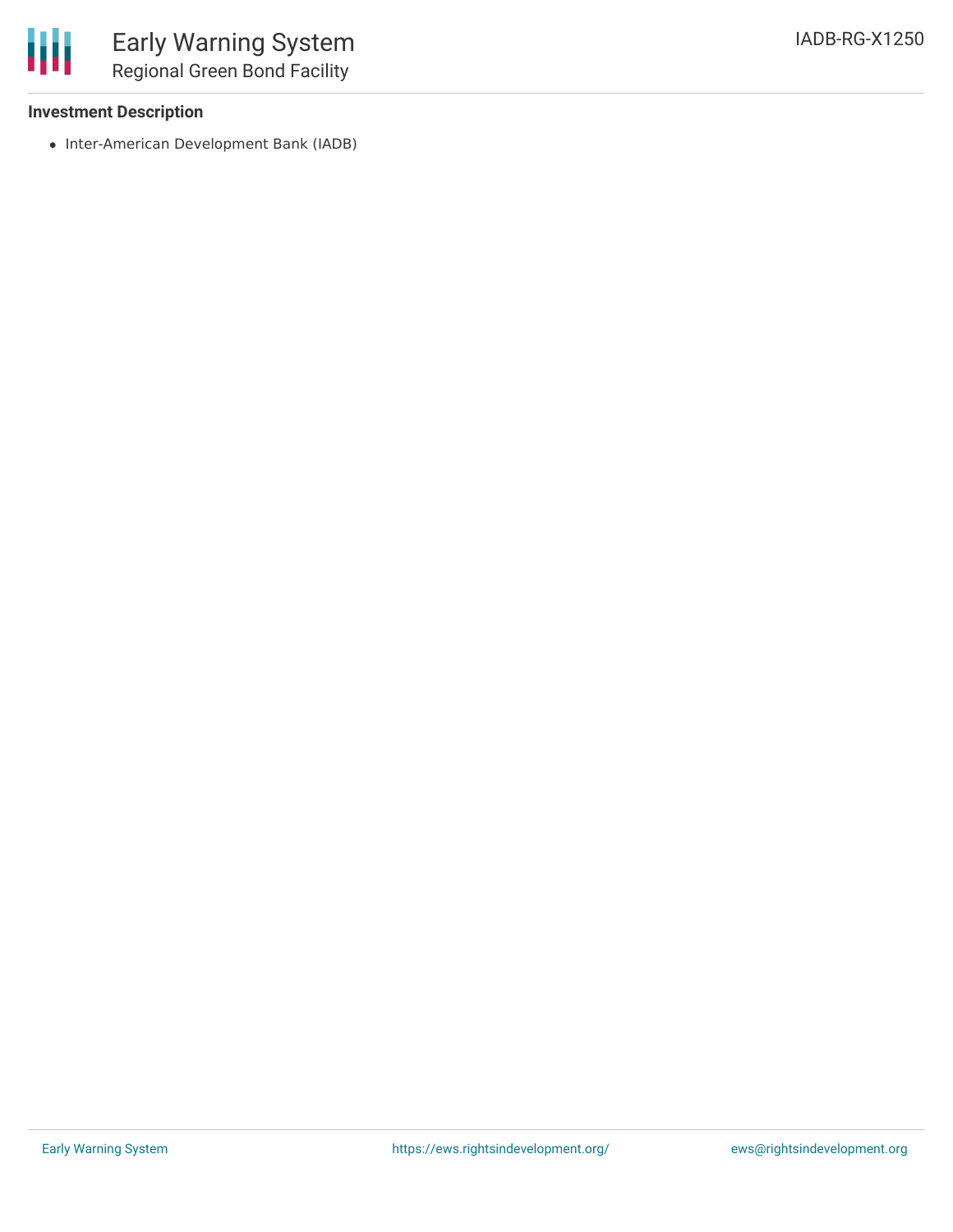

### **Investment Description**

• Inter-American Development Bank (IADB)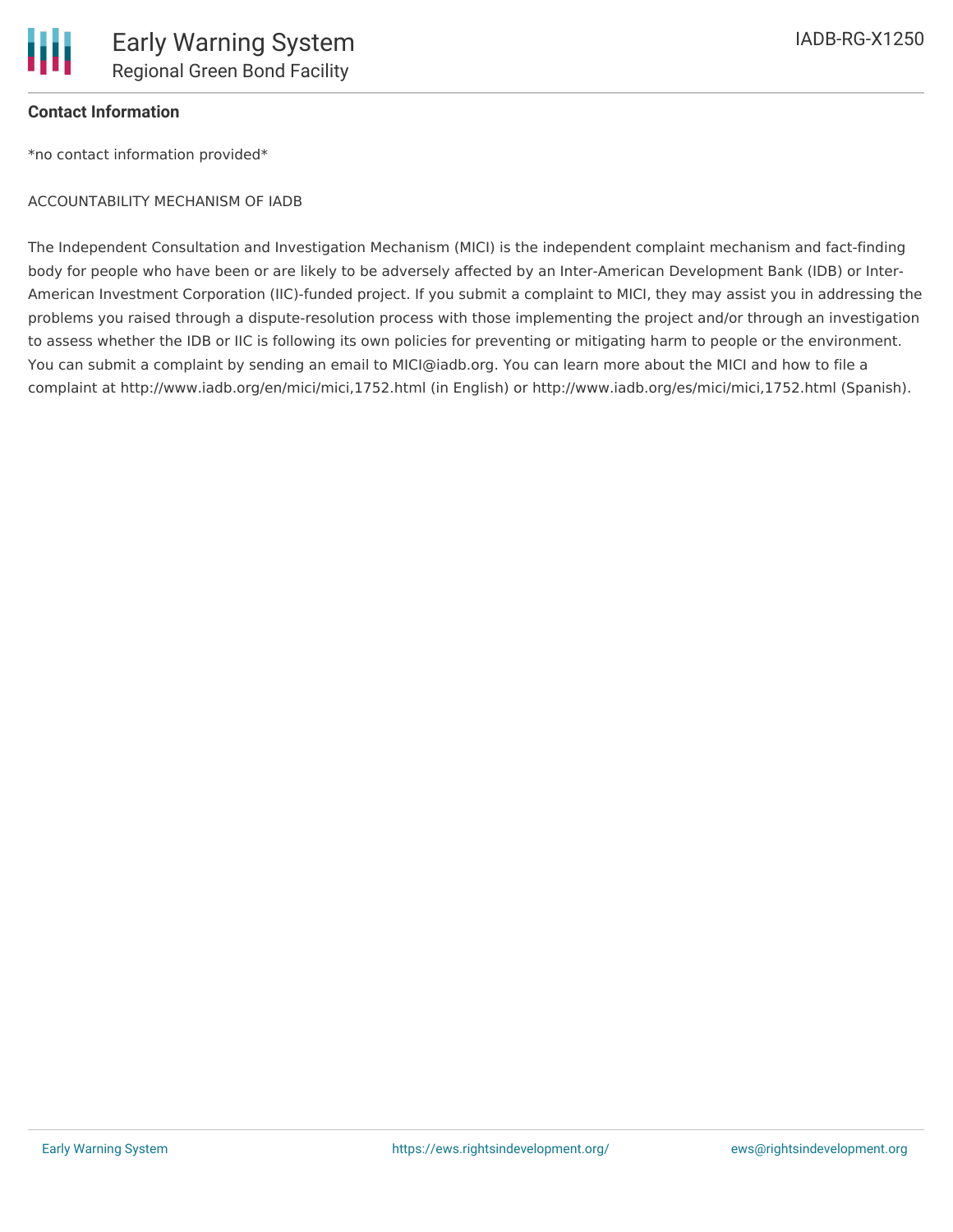

## **Contact Information**

\*no contact information provided\*

#### ACCOUNTABILITY MECHANISM OF IADB

The Independent Consultation and Investigation Mechanism (MICI) is the independent complaint mechanism and fact-finding body for people who have been or are likely to be adversely affected by an Inter-American Development Bank (IDB) or Inter-American Investment Corporation (IIC)-funded project. If you submit a complaint to MICI, they may assist you in addressing the problems you raised through a dispute-resolution process with those implementing the project and/or through an investigation to assess whether the IDB or IIC is following its own policies for preventing or mitigating harm to people or the environment. You can submit a complaint by sending an email to MICI@iadb.org. You can learn more about the MICI and how to file a complaint at http://www.iadb.org/en/mici/mici,1752.html (in English) or http://www.iadb.org/es/mici/mici,1752.html (Spanish).